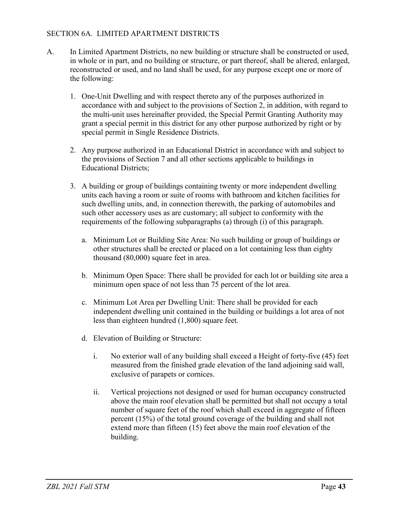## SECTION 6A. LIMITED APARTMENT DISTRICTS

- A. In Limited Apartment Districts, no new building or structure shall be constructed or used, in whole or in part, and no building or structure, or part thereof, shall be altered, enlarged, reconstructed or used, and no land shall be used, for any purpose except one or more of the following:
	- 1. One-Unit Dwelling and with respect thereto any of the purposes authorized in accordance with and subject to the provisions of Section 2, in addition, with regard to the multi-unit uses hereinafter provided, the Special Permit Granting Authority may grant a special permit in this district for any other purpose authorized by right or by special permit in Single Residence Districts.
	- 2. Any purpose authorized in an Educational District in accordance with and subject to the provisions of Section 7 and all other sections applicable to buildings in Educational Districts;
	- 3. A building or group of buildings containing twenty or more independent dwelling units each having a room or suite of rooms with bathroom and kitchen facilities for such dwelling units, and, in connection therewith, the parking of automobiles and such other accessory uses as are customary; all subject to conformity with the requirements of the following subparagraphs (a) through (i) of this paragraph.
		- a. Minimum Lot or Building Site Area: No such building or group of buildings or other structures shall be erected or placed on a lot containing less than eighty thousand (80,000) square feet in area.
		- b. Minimum Open Space: There shall be provided for each lot or building site area a minimum open space of not less than 75 percent of the lot area.
		- c. Minimum Lot Area per Dwelling Unit: There shall be provided for each independent dwelling unit contained in the building or buildings a lot area of not less than eighteen hundred (1,800) square feet.
		- d. Elevation of Building or Structure:
			- i. No exterior wall of any building shall exceed a Height of forty-five (45) feet measured from the finished grade elevation of the land adjoining said wall, exclusive of parapets or cornices.
			- ii. Vertical projections not designed or used for human occupancy constructed above the main roof elevation shall be permitted but shall not occupy a total number of square feet of the roof which shall exceed in aggregate of fifteen percent (15%) of the total ground coverage of the building and shall not extend more than fifteen (15) feet above the main roof elevation of the building.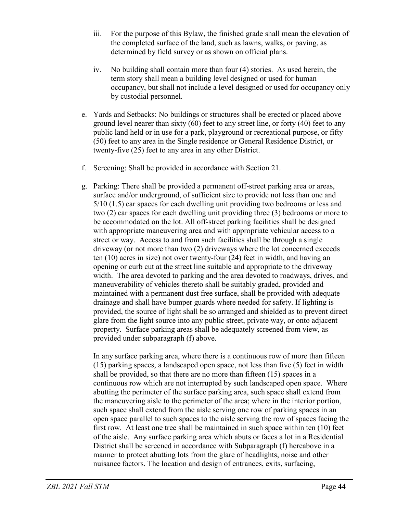- iii. For the purpose of this Bylaw, the finished grade shall mean the elevation of the completed surface of the land, such as lawns, walks, or paving, as determined by field survey or as shown on official plans.
- iv. No building shall contain more than four (4) stories. As used herein, the term story shall mean a building level designed or used for human occupancy, but shall not include a level designed or used for occupancy only by custodial personnel.
- e. Yards and Setbacks: No buildings or structures shall be erected or placed above ground level nearer than sixty (60) feet to any street line, or forty (40) feet to any public land held or in use for a park, playground or recreational purpose, or fifty (50) feet to any area in the Single residence or General Residence District, or twenty-five (25) feet to any area in any other District.
- f. Screening: Shall be provided in accordance with Section 21.
- g. Parking: There shall be provided a permanent off-street parking area or areas, surface and/or underground, of sufficient size to provide not less than one and 5/10 (1.5) car spaces for each dwelling unit providing two bedrooms or less and two (2) car spaces for each dwelling unit providing three (3) bedrooms or more to be accommodated on the lot. All off-street parking facilities shall be designed with appropriate maneuvering area and with appropriate vehicular access to a street or way. Access to and from such facilities shall be through a single driveway (or not more than two (2) driveways where the lot concerned exceeds ten (10) acres in size) not over twenty-four (24) feet in width, and having an opening or curb cut at the street line suitable and appropriate to the driveway width. The area devoted to parking and the area devoted to roadways, drives, and maneuverability of vehicles thereto shall be suitably graded, provided and maintained with a permanent dust free surface, shall be provided with adequate drainage and shall have bumper guards where needed for safety. If lighting is provided, the source of light shall be so arranged and shielded as to prevent direct glare from the light source into any public street, private way, or onto adjacent property. Surface parking areas shall be adequately screened from view, as provided under subparagraph (f) above.

In any surface parking area, where there is a continuous row of more than fifteen (15) parking spaces, a landscaped open space, not less than five (5) feet in width shall be provided, so that there are no more than fifteen (15) spaces in a continuous row which are not interrupted by such landscaped open space. Where abutting the perimeter of the surface parking area, such space shall extend from the maneuvering aisle to the perimeter of the area; where in the interior portion, such space shall extend from the aisle serving one row of parking spaces in an open space parallel to such spaces to the aisle serving the row of spaces facing the first row. At least one tree shall be maintained in such space within ten (10) feet of the aisle. Any surface parking area which abuts or faces a lot in a Residential District shall be screened in accordance with Subparagraph (f) hereabove in a manner to protect abutting lots from the glare of headlights, noise and other nuisance factors. The location and design of entrances, exits, surfacing,